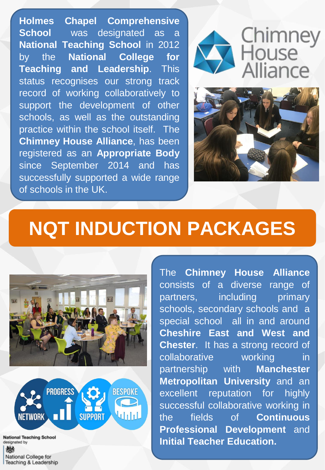**Holmes Chapel Comprehensive School** was designated as a **National Teaching School** in 2012 by the **National College for Teaching and Leadership**. This status recognises our strong track record of working collaboratively to support the development of other schools, as well as the outstanding practice within the school itself. The **Chimney House Alliance**, has been registered as an **Appropriate Body** since September 2014 and has successfully supported a wide range of schools in the UK.



# Chimney<br>House Alliance



## **NQT INDUCTION PACKAGES**





**National Teaching School** designated by 嫐 National College for Teaching & Leadership

The **Chimney House Alliance** consists of a diverse range of partners, including primary schools, secondary schools and a special school all in and around **Cheshire East and West and Chester**. It has a strong record of collaborative working in partnership with **Manchester Metropolitan University** and an excellent reputation for highly successful collaborative working in the fields of **Continuous Professional Development** and **Initial Teacher Education.**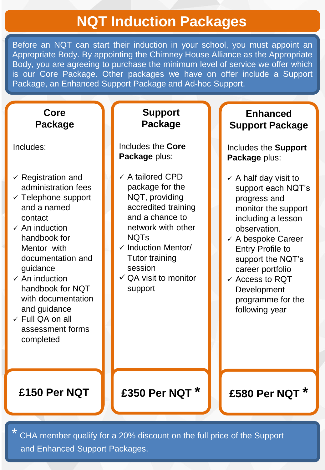## **NQT Induction Packages**

Before an NQT can start their induction in your school, you must appoint an Appropriate Body. By appointing the Chimney House Alliance as the Appropriate Body, you are agreeing to purchase the minimum level of service we offer which is our Core Package. Other packages we have on offer include a Support Package, an Enhanced Support Package and Ad-hoc Support.

#### **Core Package**

Includes:

- $\checkmark$  Registration and administration fees
- $\checkmark$  Telephone support and a named contact
- $\checkmark$  An induction handbook for Mentor with documentation and guidance
- $\times$  An induction handbook for NQT with documentation and guidance
- Full QA on all assessment forms completed

#### **Support Package**

Includes the **Core Package** plus:

- $\checkmark$  A tailored CPD package for the NQT, providing accredited training and a chance to network with other NQTs
- $\checkmark$  Induction Mentor/ Tutor training session
- $\checkmark$  QA visit to monitor support

**Enhanced Support Package**

Includes the **Support Package** plus:

- $\checkmark$  A half day visit to support each NQT's progress and monitor the support including a lesson observation.
- $\checkmark$  A bespoke Career Entry Profile to support the NQT's career portfolio
- $\checkmark$  Access to RQT Development programme for the following year

**£150 Per NQT £350 Per NQT \* £580 Per NQT \***

\* CHA member qualify for a 20% discount on the full price of the Support and Enhanced Support Packages.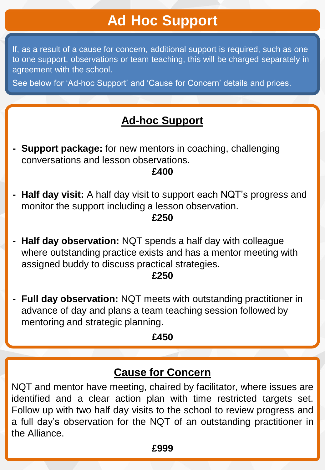## **Ad Hoc Support**

If, as a result of a cause for concern, additional support is required, such as one to one support, observations or team teaching, this will be charged separately in agreement with the school.

See below for 'Ad-hoc Support' and 'Cause for Concern' details and prices.

#### **Ad-hoc Support**

**- Support package:** for new mentors in coaching, challenging conversations and lesson observations.

#### **£400**

- The Session of the Session of the Session of the September 2014. **- Half day visit:** A half day visit to support each NQT's progress and
	- **£250**
- **- Half day observation:** NQT spends a half day with colleague where outstanding practice exists and has a mentor meeting with assigned buddy to discuss practical strategies.

#### **£250**

**Full day observation:** NQT meets with outstanding practitioner in **e** advance of day and plans a team teaching session followed by mentoring and strategic planning.

#### **£450**

#### **Cause for Concern**

NQT and mentor have meeting, chaired by facilitator, where issues are identified and a clear action plan with time restricted targets set. Follow up with two half day visits to the school to review progress and a full day's observation for the NQT of an outstanding practitioner in the Alliance.